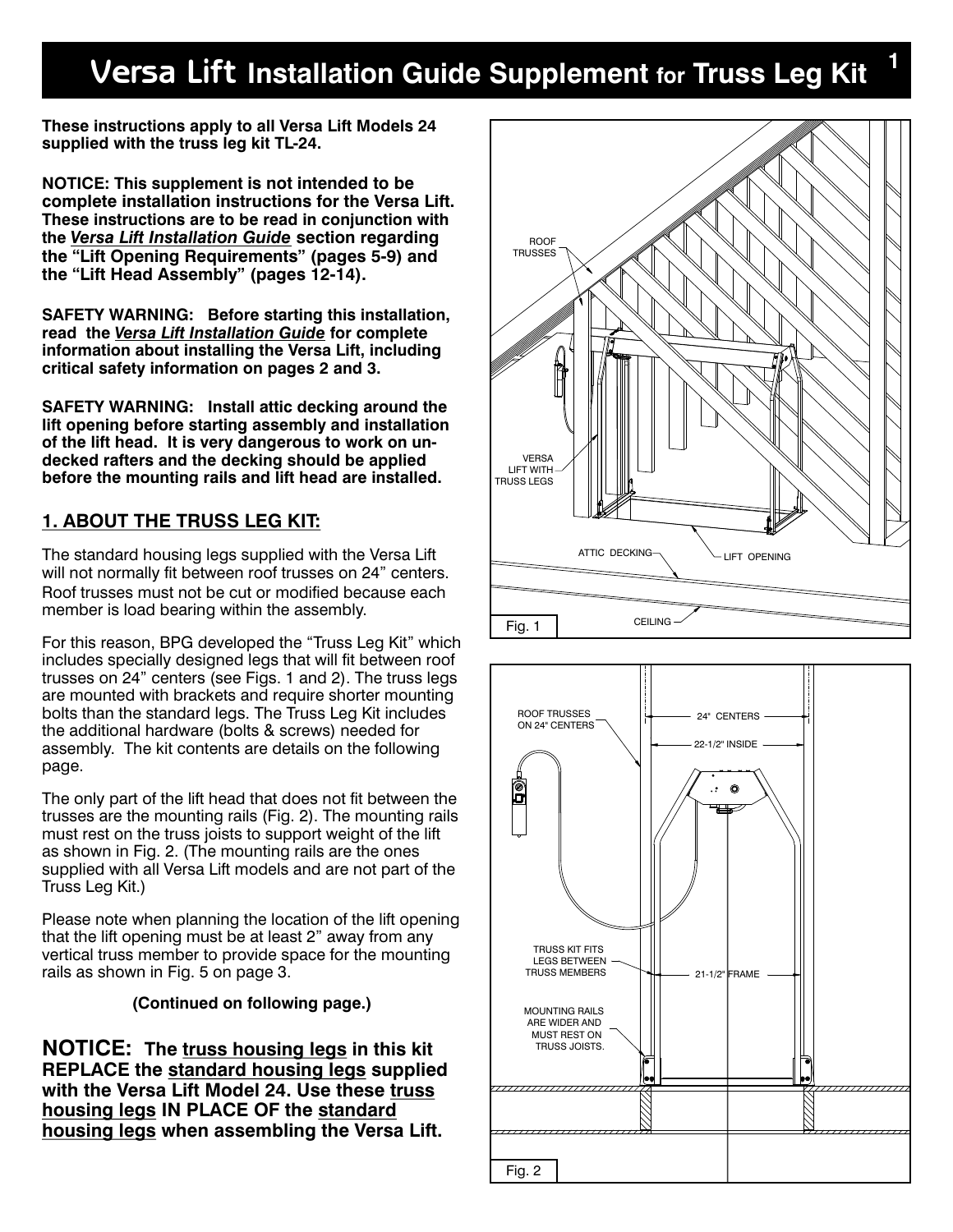## **Versa Lift Installation Guide Supplement for Truss Leg Kit <sup>1</sup>**

**These instructions apply to all Versa Lift Models 24 supplied with the truss leg kit TL-24.** 

**NOTICE: This supplement is not intended to be complete installation instructions for the Versa Lift. These instructions are to be read in conjunction with the** *Versa Lift Installation Guide* **section regarding the "Lift Opening Requirements" (pages 5-9) and the "Lift Head Assembly" (pages 12-14).**

**SAFETY WARNING: Before starting this installation, read the** *Versa Lift Installation Guide* **for complete information about installing the Versa Lift, including critical safety information on pages 2 and 3.**

**SAFETY WARNING: Install attic decking around the lift opening before starting assembly and installation of the lift head. It is very dangerous to work on undecked rafters and the decking should be applied before the mounting rails and lift head are installed.**

### **1. ABOUT THE TRUSS LEG KIT:**

The standard housing legs supplied with the Versa Lift will not normally fit between roof trusses on 24" centers. Roof trusses must not be cut or modified because each member is load bearing within the assembly.

For this reason, BPG developed the "Truss Leg Kit" which includes specially designed legs that will fit between roof trusses on 24" centers (see Figs. 1 and 2). The truss legs are mounted with brackets and require shorter mounting bolts than the standard legs. The Truss Leg Kit includes the additional hardware (bolts & screws) needed for assembly. The kit contents are details on the following page.

The only part of the lift head that does not fit between the trusses are the mounting rails (Fig. 2). The mounting rails must rest on the truss joists to support weight of the lift as shown in Fig. 2. (The mounting rails are the ones supplied with all Versa Lift models and are not part of the Truss Leg Kit.)

Please note when planning the location of the lift opening that the lift opening must be at least 2" away from any vertical truss member to provide space for the mounting rails as shown in Fig. 5 on page 3.

#### **(Continued on following page.)**

**NOTICE: The truss housing legs in this kit REPLACE the standard housing legs supplied with the Versa Lift Model 24. Use these truss housing legs IN PLACE OF the standard housing legs when assembling the Versa Lift.**



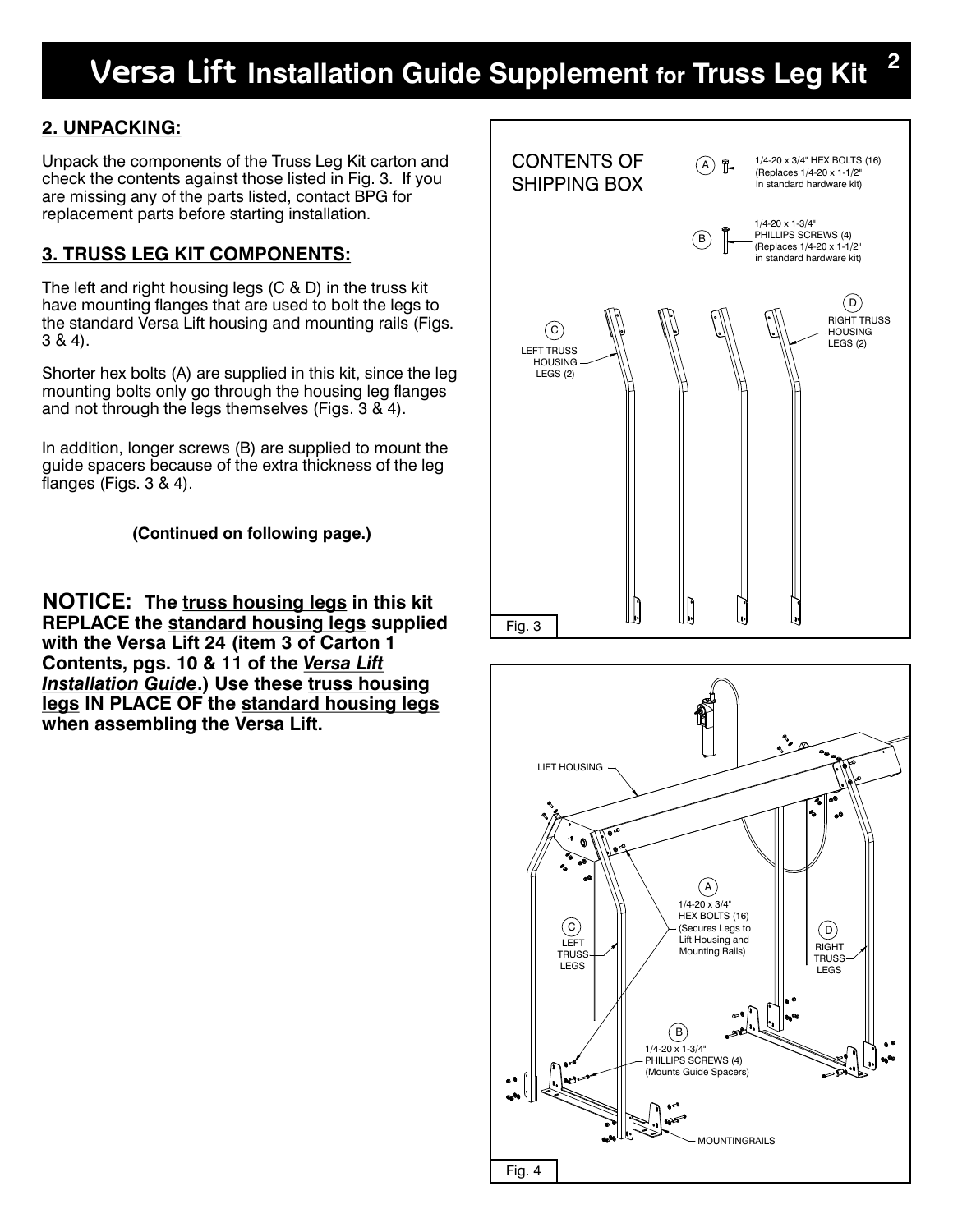# **Versa Lift Installation Guide Supplement for Truss Leg Kit <sup>2</sup>**

### **2. UNPACKING:**

Unpack the components of the Truss Leg Kit carton and check the contents against those listed in Fig. 3. If you are missing any of the parts listed, contact BPG for replacement parts before starting installation.

### **3. TRUSS LEG KIT COMPONENTS:**

The left and right housing legs (C & D) in the truss kit have mounting flanges that are used to bolt the legs to the standard Versa Lift housing and mounting rails (Figs. 3 & 4).

Shorter hex bolts (A) are supplied in this kit, since the leg mounting bolts only go through the housing leg flanges and not through the legs themselves (Figs. 3 & 4).

In addition, longer screws (B) are supplied to mount the guide spacers because of the extra thickness of the leg flanges (Figs. 3 & 4).

**(Continued on following page.)**

**NOTICE: The truss housing legs in this kit REPLACE the standard housing legs supplied with the Versa Lift 24 (item 3 of Carton 1 Contents, pgs. 10 & 11 of the** *Versa Lift Installation Guide***.) Use these truss housing legs IN PLACE OF the standard housing legs when assembling the Versa Lift.**



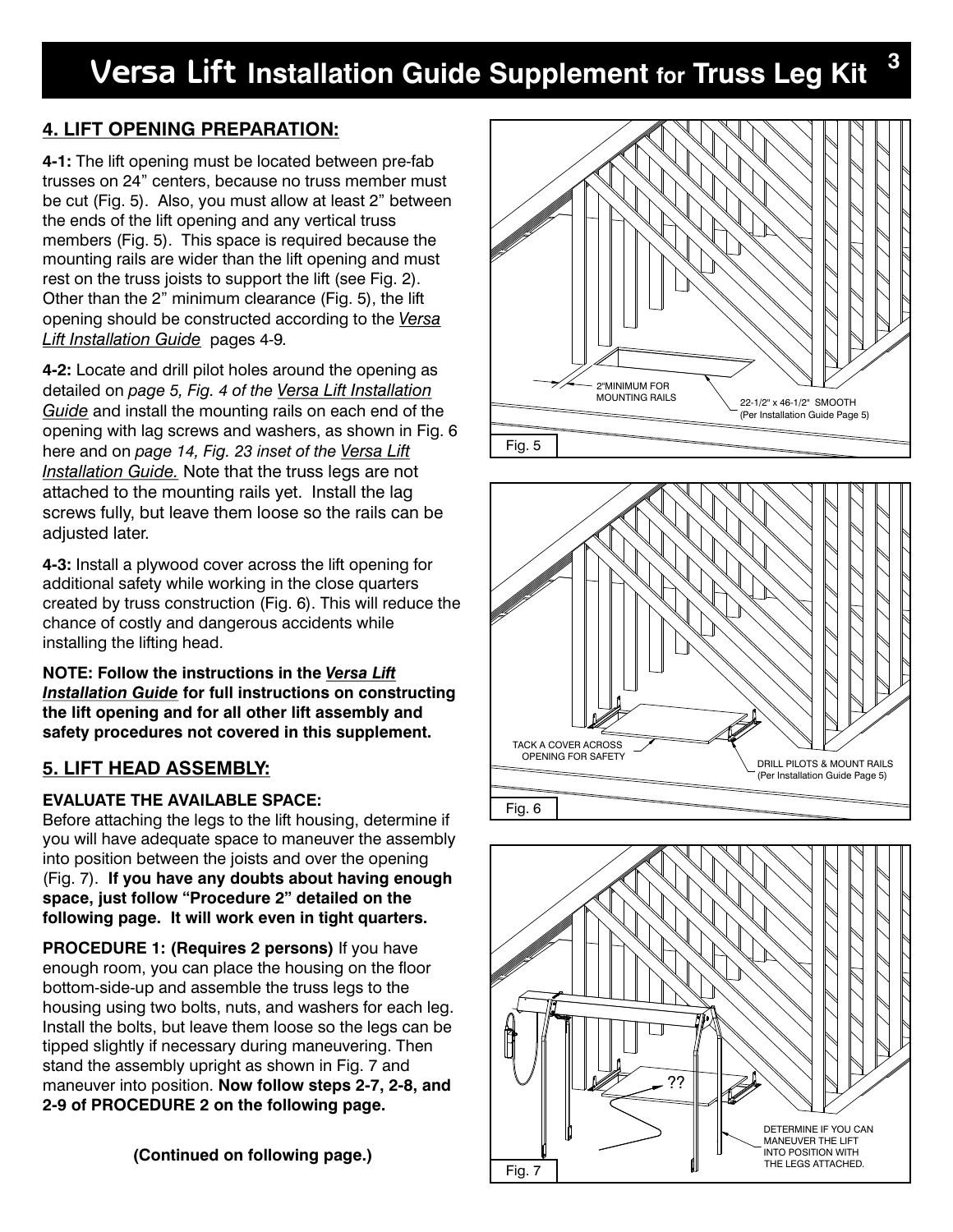## **4. LIFT OPENING PREPARATION:**

**4-1:** The lift opening must be located between pre-fab trusses on 24" centers, because no truss member must be cut (Fig. 5). Also, you must allow at least 2" between the ends of the lift opening and any vertical truss members (Fig. 5). This space is required because the mounting rails are wider than the lift opening and must rest on the truss joists to support the lift (see Fig. 2). Other than the 2" minimum clearance (Fig. 5), the lift opening should be constructed according to the *Versa Lift Installation Guide* pages 4-9*.*

**4-2:** Locate and drill pilot holes around the opening as detailed on *page 5, Fig. 4 of the Versa Lift Installation Guide* and install the mounting rails on each end of the opening with lag screws and washers, as shown in Fig. 6 here and on *page 14, Fig. 23 inset of the Versa Lift Installation Guide.* Note that the truss legs are not attached to the mounting rails yet. Install the lag screws fully, but leave them loose so the rails can be adjusted later.

**4-3:** Install a plywood cover across the lift opening for additional safety while working in the close quarters created by truss construction (Fig. 6). This will reduce the chance of costly and dangerous accidents while installing the lifting head.

**NOTE: Follow the instructions in the** *Versa Lift Installation Guide* **for full instructions on constructing the lift opening and for all other lift assembly and safety procedures not covered in this supplement.** 

## **5. LIFT HEAD ASSEMBLY:**

## **EVALUATE THE AVAILABLE SPACE:**

Before attaching the legs to the lift housing, determine if you will have adequate space to maneuver the assembly into position between the joists and over the opening (Fig. 7). **If you have any doubts about having enough space, just follow "Procedure 2" detailed on the following page. It will work even in tight quarters.** 

**PROCEDURE 1: (Requires 2 persons)** If you have enough room, you can place the housing on the floor bottom-side-up and assemble the truss legs to the housing using two bolts, nuts, and washers for each leg. Install the bolts, but leave them loose so the legs can be tipped slightly if necessary during maneuvering. Then stand the assembly upright as shown in Fig. 7 and maneuver into position. **Now follow steps 2-7, 2-8, and 2-9 of PROCEDURE 2 on the following page.**

**(Continued on following page.)**



**3**